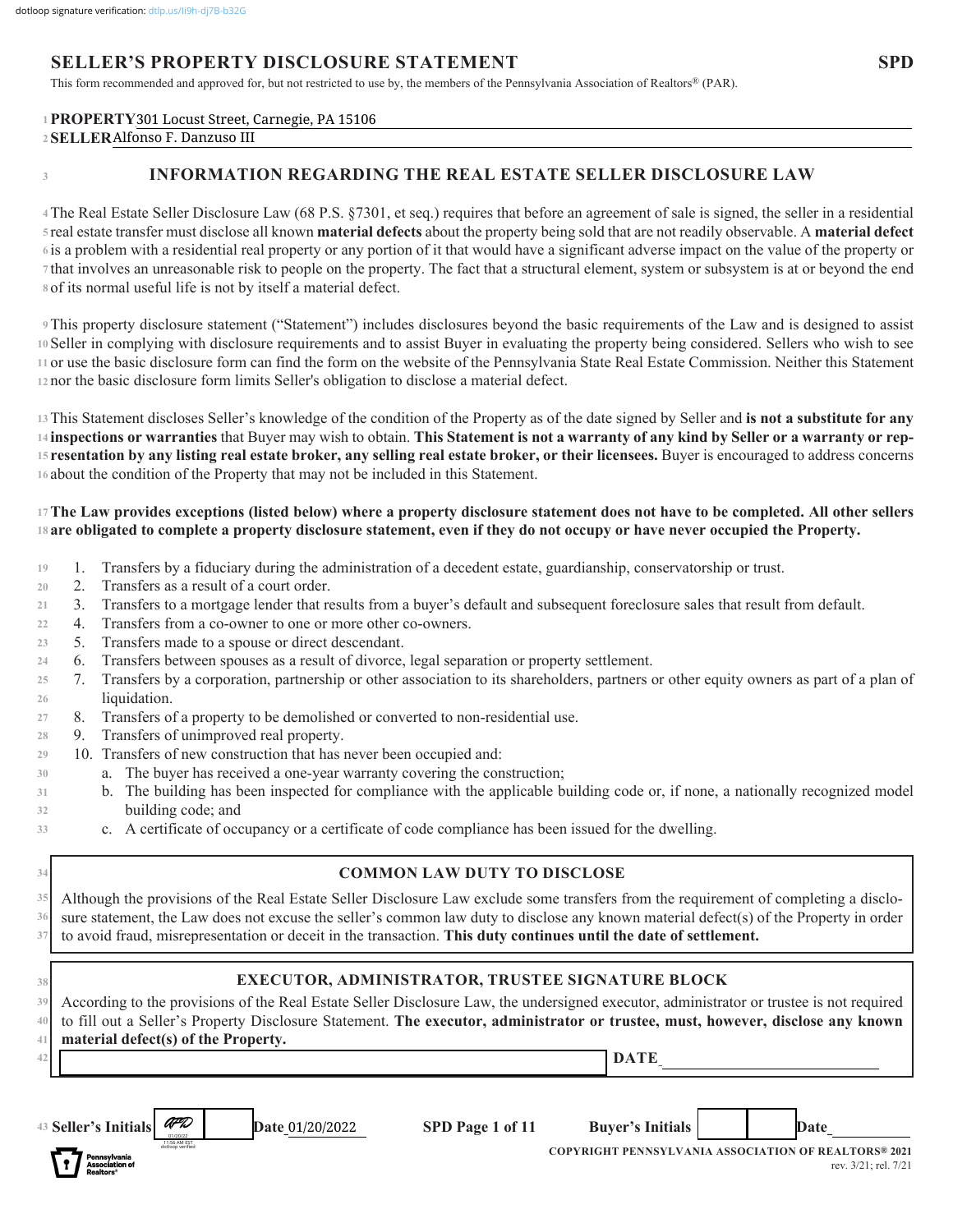# **SELLER'S PROPERTY DISCLOSURE STATEMENT**

This form recommended and approved for, but not restricted to use by, the members of the Pennsylvania Association of Realtors® (PAR).

### **PROPERTY\_\_\_\_\_\_\_\_\_\_\_\_\_\_\_\_\_\_\_\_\_\_\_\_\_\_\_\_\_\_\_\_\_\_\_\_\_\_\_\_\_\_\_\_\_\_\_\_\_\_\_\_\_\_\_\_\_\_\_\_\_\_\_\_\_\_\_\_\_\_\_\_\_\_\_\_\_\_\_\_\_\_\_\_\_\_\_\_\_\_\_\_\_\_\_\_\_\_\_ 1** 301 Locust Street, Carnegie, PA 15106 **SELLER\_\_\_\_\_\_\_\_\_\_\_\_\_\_\_\_\_\_\_\_\_\_\_\_\_\_\_\_\_\_\_\_\_\_\_\_\_\_\_\_\_\_\_\_\_\_\_\_\_\_\_\_\_\_\_\_\_\_\_\_\_\_\_\_\_\_\_\_\_\_\_\_\_\_\_\_\_\_\_\_\_\_\_\_\_\_\_\_\_\_\_\_\_\_\_\_\_\_\_\_\_\_ 2** Alfonso F. Danzuso III

**3**

## **INFORMATION REGARDING THE REAL ESTATE SELLER DISCLOSURE LAW**

The Real Estate Seller Disclosure Law (68 P.S. §7301, et seq.) requires that before an agreement of sale is signed, the seller in a residential **4** real estate transfer must disclose all known **material defects** about the property being sold that are not readily observable. A **material defect 5** is a problem with a residential real property or any portion of it that would have a significant adverse impact on the value of the property or **6** that involves an unreasonable risk to people on the property. The fact that a structural element, system or subsystem is at or beyond the end **7** of its normal useful life is not by itself a material defect. **8**

This property disclosure statement ("Statement") includes disclosures beyond the basic requirements of the Law and is designed to assist **9** Seller in complying with disclosure requirements and to assist Buyer in evaluating the property being considered. Sellers who wish to see **10** or use the basic disclosure form can find the form on the website of the Pennsylvania State Real Estate Commission. Neither this Statement **11** 12 nor the basic disclosure form limits Seller's obligation to disclose a material defect.

This Statement discloses Seller's knowledge of the condition of the Property as of the date signed by Seller and **is not a substitute for any 13 inspections or warranties** that Buyer may wish to obtain. **This Statement is not a warranty of any kind by Seller or a warranty or rep-14 resentation by any listing real estate broker, any selling real estate broker, or their licensees.** Buyer is encouraged to address concerns **15** 16 about the condition of the Property that may not be included in this Statement.

#### **The Law provides exceptions (listed below) where a property disclosure statement does not have to be completed. All other sellers 17 are obligated to complete a property disclosure statement, even if they do not occupy or have never occupied the Property. 18**

- 1. Transfers by a fiduciary during the administration of a decedent estate, guardianship, conservatorship or trust. **19**
- 2. Transfers as a result of a court order. **20**
- 3. Transfers to a mortgage lender that results from a buyer's default and subsequent foreclosure sales that result from default. **21**
- 4. Transfers from a co-owner to one or more other co-owners. **22**
- 5. Transfers made to a spouse or direct descendant. **23**
- 6. Transfers between spouses as a result of divorce, legal separation or property settlement. **24**
- 7. Transfers by a corporation, partnership or other association to its shareholders, partners or other equity owners as part of a plan of liquidation. **25 26**
- 8. Transfers of a property to be demolished or converted to non-residential use. **27**
- 9. Transfers of unimproved real property. **28**
- 10. Transfers of new construction that has never been occupied and: **29**
	- a. The buyer has received a one-year warranty covering the construction;
	- b. The building has been inspected for compliance with the applicable building code or, if none, a nationally recognized model building code; and
	- c. A certificate of occupancy or a certificate of code compliance has been issued for the dwelling.

| 34             | <b>COMMON LAW DUTY TO DISCLOSE</b>                                                                                                                                                                                                                                                                                                                                     |  |  |  |  |  |  |  |  |
|----------------|------------------------------------------------------------------------------------------------------------------------------------------------------------------------------------------------------------------------------------------------------------------------------------------------------------------------------------------------------------------------|--|--|--|--|--|--|--|--|
|                | Although the provisions of the Real Estate Seller Disclosure Law exclude some transfers from the requirement of completing a disclo-<br>35                                                                                                                                                                                                                             |  |  |  |  |  |  |  |  |
| 36             | sure statement, the Law does not excuse the seller's common law duty to disclose any known material defect(s) of the Property in order                                                                                                                                                                                                                                 |  |  |  |  |  |  |  |  |
|                | to avoid fraud, misrepresentation or deceit in the transaction. This duty continues until the date of settlement.                                                                                                                                                                                                                                                      |  |  |  |  |  |  |  |  |
| 38<br>39<br>40 | EXECUTOR, ADMINISTRATOR, TRUSTEE SIGNATURE BLOCK<br>According to the provisions of the Real Estate Seller Disclosure Law, the undersigned executor, administrator or trustee is not required<br>to fill out a Seller's Property Disclosure Statement. The executor, administrator or trustee, must, however, disclose any known<br>material defect(s) of the Property. |  |  |  |  |  |  |  |  |
|                | <b>DATE</b>                                                                                                                                                                                                                                                                                                                                                            |  |  |  |  |  |  |  |  |
|                | AFD<br>43 Seller's Initials<br>SPD Page 1 of 11<br><b>Buyer's Initials</b><br><b>Date 01/20/2022</b><br>Date<br>1:56 AM EST                                                                                                                                                                                                                                            |  |  |  |  |  |  |  |  |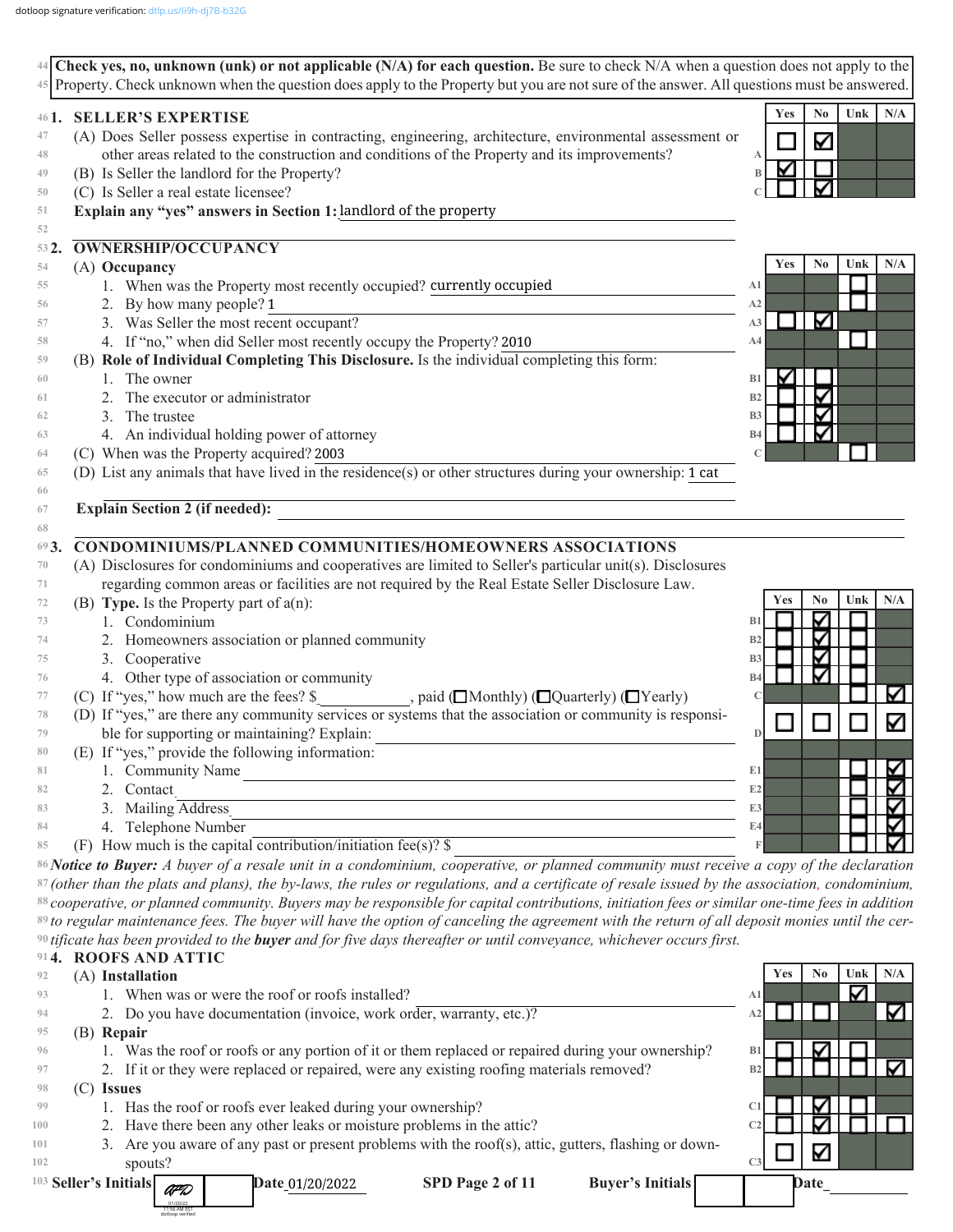| $44$ Check yes, no, unknown (unk) or not applicable (N/A) for each question. Be sure to check N/A when a question does not apply to the<br>Property. Check unknown when the question does apply to the Property but you are not sure of the answer. All questions must be answered.<br>45 |  |                                                                                                                                                   |                |     |                |     |     |
|-------------------------------------------------------------------------------------------------------------------------------------------------------------------------------------------------------------------------------------------------------------------------------------------|--|---------------------------------------------------------------------------------------------------------------------------------------------------|----------------|-----|----------------|-----|-----|
| $46$ $\mathbf{I}$ .                                                                                                                                                                                                                                                                       |  | <b>SELLER'S EXPERTISE</b>                                                                                                                         |                | Yes | N <sub>0</sub> | Unk | N/A |
| 47                                                                                                                                                                                                                                                                                        |  | (A) Does Seller possess expertise in contracting, engineering, architecture, environmental assessment or                                          |                |     | Κ              |     |     |
| 48                                                                                                                                                                                                                                                                                        |  | other areas related to the construction and conditions of the Property and its improvements?                                                      |                |     |                |     |     |
| 49                                                                                                                                                                                                                                                                                        |  | (B) Is Seller the landlord for the Property?                                                                                                      |                |     |                |     |     |
| 50                                                                                                                                                                                                                                                                                        |  | (C) Is Seller a real estate licensee?                                                                                                             |                |     |                |     |     |
| 51                                                                                                                                                                                                                                                                                        |  | Explain any "yes" answers in Section 1: landlord of the property                                                                                  |                |     |                |     |     |
| 52                                                                                                                                                                                                                                                                                        |  |                                                                                                                                                   |                |     |                |     |     |
| 532.                                                                                                                                                                                                                                                                                      |  | <b>OWNERSHIP/OCCUPANCY</b>                                                                                                                        |                |     |                |     |     |
| 54                                                                                                                                                                                                                                                                                        |  | (A) Occupancy                                                                                                                                     |                | Yes | N <sub>0</sub> | Unk | N/A |
| 55                                                                                                                                                                                                                                                                                        |  | 1. When was the Property most recently occupied? currently occupied                                                                               | A1             |     |                |     |     |
| 56                                                                                                                                                                                                                                                                                        |  | 2. By how many people? 1                                                                                                                          | A2             |     |                |     |     |
| 57                                                                                                                                                                                                                                                                                        |  | 3. Was Seller the most recent occupant?                                                                                                           | A3             |     | K              |     |     |
| 58                                                                                                                                                                                                                                                                                        |  | 4. If "no," when did Seller most recently occupy the Property? 2010                                                                               | A4             |     |                |     |     |
| 59                                                                                                                                                                                                                                                                                        |  | (B) Role of Individual Completing This Disclosure. Is the individual completing this form:                                                        |                |     |                |     |     |
| 60                                                                                                                                                                                                                                                                                        |  | 1. The owner                                                                                                                                      | B1             |     |                |     |     |
| 61                                                                                                                                                                                                                                                                                        |  | The executor or administrator                                                                                                                     | B2             |     | ☑              |     |     |
| 62                                                                                                                                                                                                                                                                                        |  | The trustee<br>3.                                                                                                                                 | <b>B3</b>      |     | ∇              |     |     |
| 63                                                                                                                                                                                                                                                                                        |  | 4. An individual holding power of attorney                                                                                                        | <b>B4</b>      |     |                |     |     |
| 64                                                                                                                                                                                                                                                                                        |  | (C) When was the Property acquired? 2003                                                                                                          |                |     |                |     |     |
| 65                                                                                                                                                                                                                                                                                        |  | (D) List any animals that have lived in the residence(s) or other structures during your ownership: 1 cat                                         |                |     |                |     |     |
| 66                                                                                                                                                                                                                                                                                        |  |                                                                                                                                                   |                |     |                |     |     |
| 67                                                                                                                                                                                                                                                                                        |  | Explain Section 2 (if needed):                                                                                                                    |                |     |                |     |     |
| 68                                                                                                                                                                                                                                                                                        |  |                                                                                                                                                   |                |     |                |     |     |
| 693.                                                                                                                                                                                                                                                                                      |  | CONDOMINIUMS/PLANNED COMMUNITIES/HOMEOWNERS ASSOCIATIONS                                                                                          |                |     |                |     |     |
| 70                                                                                                                                                                                                                                                                                        |  | (A) Disclosures for condominiums and cooperatives are limited to Seller's particular unit(s). Disclosures                                         |                |     |                |     |     |
| 71                                                                                                                                                                                                                                                                                        |  | regarding common areas or facilities are not required by the Real Estate Seller Disclosure Law.                                                   |                |     |                |     |     |
| 72                                                                                                                                                                                                                                                                                        |  | (B) Type. Is the Property part of $a(n)$ :                                                                                                        |                | Yes | No             | Unk | N/A |
| 73                                                                                                                                                                                                                                                                                        |  | 1. Condominium                                                                                                                                    | B1             |     | ✓              |     |     |
| 74                                                                                                                                                                                                                                                                                        |  | 2. Homeowners association or planned community                                                                                                    | B <sub>2</sub> |     | ⊽              |     |     |
| 75                                                                                                                                                                                                                                                                                        |  | 3. Cooperative                                                                                                                                    | B <sub>3</sub> |     | ∇              |     |     |
| 76                                                                                                                                                                                                                                                                                        |  | 4. Other type of association or community                                                                                                         | <b>B4</b>      |     | ∇              |     |     |
| 77                                                                                                                                                                                                                                                                                        |  | (C) If "yes," how much are the fees? \$<br>, paid ( $\Box$ Monthly) ( $\Box$ Quarterly) ( $\Box$ Yearly)                                          |                |     |                |     | ⊽   |
| 78                                                                                                                                                                                                                                                                                        |  | (D) If "yes," are there any community services or systems that the association or community is responsi-                                          |                |     |                |     | Κ   |
| 79                                                                                                                                                                                                                                                                                        |  | ble for supporting or maintaining? Explain:                                                                                                       |                |     |                |     |     |
| 80                                                                                                                                                                                                                                                                                        |  | (E) If "yes," provide the following information:                                                                                                  |                |     |                |     |     |
| 81                                                                                                                                                                                                                                                                                        |  | 1. Community Name                                                                                                                                 | E1             |     |                |     | V   |
| 82                                                                                                                                                                                                                                                                                        |  | Contact<br>2.                                                                                                                                     | E2             |     |                |     | ⊽   |
| 83                                                                                                                                                                                                                                                                                        |  | 3. Mailing Address                                                                                                                                | E3             |     |                |     | ✓   |
| 84                                                                                                                                                                                                                                                                                        |  | 4. Telephone Number                                                                                                                               | E4             |     |                |     | ▽   |
| 85                                                                                                                                                                                                                                                                                        |  | (F) How much is the capital contribution/initiation fee(s)? $\$                                                                                   |                |     |                |     |     |
|                                                                                                                                                                                                                                                                                           |  | 86 Notice to Buyer: A buyer of a resale unit in a condominium, cooperative, or planned community must receive a copy of the declaration           |                |     |                |     |     |
|                                                                                                                                                                                                                                                                                           |  | $87$ (other than the plats and plans), the by-laws, the rules or regulations, and a certificate of resale issued by the association, condominium, |                |     |                |     |     |
|                                                                                                                                                                                                                                                                                           |  | 88 cooperative, or planned community. Buyers may be responsible for capital contributions, initiation fees or similar one-time fees in addition   |                |     |                |     |     |
|                                                                                                                                                                                                                                                                                           |  | 89 to regular maintenance fees. The buyer will have the option of canceling the agreement with the return of all deposit monies until the cer-    |                |     |                |     |     |
|                                                                                                                                                                                                                                                                                           |  | $90$ tificate has been provided to the <b>buyer</b> and for five days thereafter or until conveyance, whichever occurs first.                     |                |     |                |     |     |
|                                                                                                                                                                                                                                                                                           |  | 914. ROOFS AND ATTIC                                                                                                                              |                |     |                |     |     |
| 92                                                                                                                                                                                                                                                                                        |  | (A) Installation                                                                                                                                  |                | Yes | N <sub>0</sub> | Unk | N/A |
| 93                                                                                                                                                                                                                                                                                        |  | 1. When was or were the roof or roofs installed?                                                                                                  | A1             |     |                | Μ   |     |
| 94                                                                                                                                                                                                                                                                                        |  | 2. Do you have documentation (invoice, work order, warranty, etc.)?                                                                               | A <sub>2</sub> |     |                |     | K   |
| 95                                                                                                                                                                                                                                                                                        |  | (B) Repair                                                                                                                                        |                |     |                |     |     |
| 96                                                                                                                                                                                                                                                                                        |  | 1. Was the roof or roofs or any portion of it or them replaced or repaired during your ownership?                                                 | B1             |     | V              |     |     |
| 97                                                                                                                                                                                                                                                                                        |  | 2. If it or they were replaced or repaired, were any existing roofing materials removed?                                                          | B2             |     |                |     | ∇   |
| 98                                                                                                                                                                                                                                                                                        |  | $(C)$ Issues                                                                                                                                      |                |     |                |     |     |
| 99                                                                                                                                                                                                                                                                                        |  | 1. Has the roof or roofs ever leaked during your ownership?                                                                                       | C <sub>1</sub> |     | V              |     |     |
| 100                                                                                                                                                                                                                                                                                       |  | 2. Have there been any other leaks or moisture problems in the attic?                                                                             |                |     |                |     |     |

 3. Are you aware of any past or present problems with the roof(s), attic, gutters, flashing or downspouts? **101 102**

Date\_01/20/2022

SPD Page 2 of 11 Buyer's Initials **Date\_** 

**C3**

 $\blacktriangledown$ 

<sup>103</sup> Seller's Initials

AFD 01/20/22 11:56 AM EST dotloop verified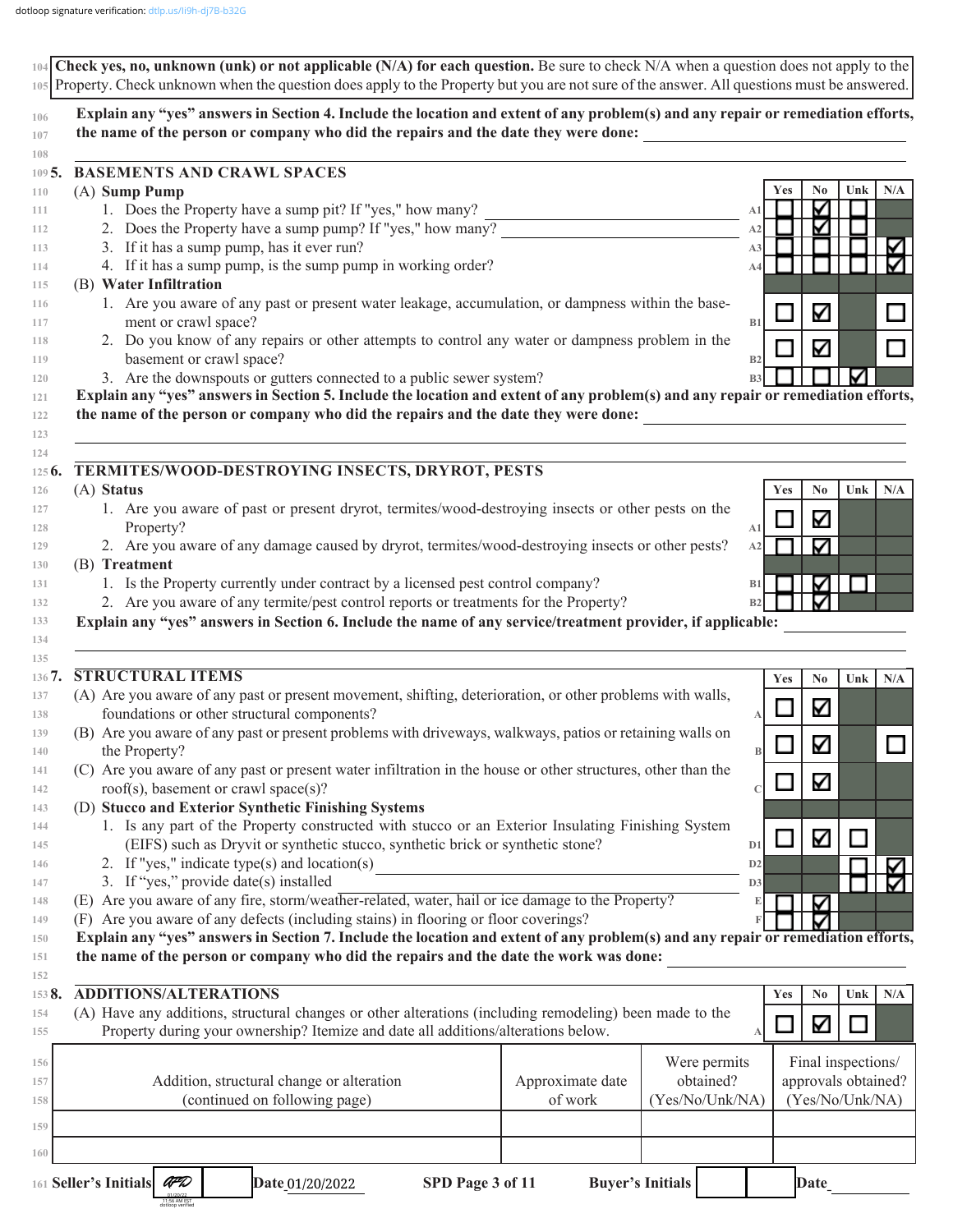| the name of the person or company who did the repairs and the date they were done:                                                                                                                                                                                                                                                                                                                                                                                                                          | Explain any "yes" answers in Section 4. Include the location and extent of any problem(s) and any repair or remediation efforts, |                |                       |
|-------------------------------------------------------------------------------------------------------------------------------------------------------------------------------------------------------------------------------------------------------------------------------------------------------------------------------------------------------------------------------------------------------------------------------------------------------------------------------------------------------------|----------------------------------------------------------------------------------------------------------------------------------|----------------|-----------------------|
| <b>BASEMENTS AND CRAWL SPACES</b>                                                                                                                                                                                                                                                                                                                                                                                                                                                                           |                                                                                                                                  |                |                       |
| (A) Sump Pump                                                                                                                                                                                                                                                                                                                                                                                                                                                                                               |                                                                                                                                  | Yes            | N <sub>0</sub><br>Unk |
| 1. Does the Property have a sump pit? If "yes," how many?                                                                                                                                                                                                                                                                                                                                                                                                                                                   |                                                                                                                                  | A1             | ⊽                     |
| 2. Does the Property have a sump pump? If "yes," how many?                                                                                                                                                                                                                                                                                                                                                                                                                                                  |                                                                                                                                  | A2             | ∇                     |
| 3. If it has a sump pump, has it ever run?                                                                                                                                                                                                                                                                                                                                                                                                                                                                  |                                                                                                                                  | A3             |                       |
| 4. If it has a sump pump, is the sump pump in working order?<br>(B) Water Infiltration                                                                                                                                                                                                                                                                                                                                                                                                                      |                                                                                                                                  | A4             |                       |
| 1. Are you aware of any past or present water leakage, accumulation, or dampness within the base-                                                                                                                                                                                                                                                                                                                                                                                                           |                                                                                                                                  |                |                       |
| ment or crawl space?                                                                                                                                                                                                                                                                                                                                                                                                                                                                                        |                                                                                                                                  | B1             | Κ                     |
| 2. Do you know of any repairs or other attempts to control any water or dampness problem in the                                                                                                                                                                                                                                                                                                                                                                                                             |                                                                                                                                  |                | Κ                     |
| basement or crawl space?                                                                                                                                                                                                                                                                                                                                                                                                                                                                                    |                                                                                                                                  | B2             |                       |
| 3. Are the downspouts or gutters connected to a public sewer system?                                                                                                                                                                                                                                                                                                                                                                                                                                        |                                                                                                                                  | B <sub>3</sub> |                       |
| Explain any "yes" answers in Section 5. Include the location and extent of any problem(s) and any repair or remediation efforts,                                                                                                                                                                                                                                                                                                                                                                            |                                                                                                                                  |                |                       |
| the name of the person or company who did the repairs and the date they were done:                                                                                                                                                                                                                                                                                                                                                                                                                          |                                                                                                                                  |                |                       |
| TERMITES/WOOD-DESTROYING INSECTS, DRYROT, PESTS                                                                                                                                                                                                                                                                                                                                                                                                                                                             |                                                                                                                                  |                |                       |
| (A) Status                                                                                                                                                                                                                                                                                                                                                                                                                                                                                                  |                                                                                                                                  | Yes            | N <sub>0</sub><br>Unk |
| 1. Are you aware of past or present dryrot, termites/wood-destroying insects or other pests on the                                                                                                                                                                                                                                                                                                                                                                                                          |                                                                                                                                  |                | Κ                     |
| Property?                                                                                                                                                                                                                                                                                                                                                                                                                                                                                                   |                                                                                                                                  | A1             |                       |
| 2. Are you aware of any damage caused by dryrot, termites/wood-destroying insects or other pests?                                                                                                                                                                                                                                                                                                                                                                                                           |                                                                                                                                  | A2             | ☑                     |
| (B) Treatment                                                                                                                                                                                                                                                                                                                                                                                                                                                                                               |                                                                                                                                  |                |                       |
| 1. Is the Property currently under contract by a licensed pest control company?                                                                                                                                                                                                                                                                                                                                                                                                                             |                                                                                                                                  | B1             | Κ                     |
| 2. Are you aware of any termite/pest control reports or treatments for the Property?<br>Explain any "yes" answers in Section 6. Include the name of any service/treatment provider, if applicable:                                                                                                                                                                                                                                                                                                          |                                                                                                                                  | B2             | ⊽                     |
|                                                                                                                                                                                                                                                                                                                                                                                                                                                                                                             |                                                                                                                                  |                |                       |
| <b>STRUCTURAL ITEMS</b>                                                                                                                                                                                                                                                                                                                                                                                                                                                                                     |                                                                                                                                  | Yes            | N <sub>0</sub><br>Unk |
| (A) Are you aware of any past or present movement, shifting, deterioration, or other problems with walls,<br>foundations or other structural components?                                                                                                                                                                                                                                                                                                                                                    |                                                                                                                                  |                | Κ                     |
| (B) Are you aware of any past or present problems with driveways, walkways, patios or retaining walls on                                                                                                                                                                                                                                                                                                                                                                                                    |                                                                                                                                  | А              |                       |
| the Property?                                                                                                                                                                                                                                                                                                                                                                                                                                                                                               |                                                                                                                                  | $\, {\bf B}$   | Δ                     |
| (C) Are you aware of any past or present water infiltration in the house or other structures, other than the                                                                                                                                                                                                                                                                                                                                                                                                |                                                                                                                                  |                |                       |
|                                                                                                                                                                                                                                                                                                                                                                                                                                                                                                             |                                                                                                                                  |                |                       |
| roof(s), basement or crawl space(s)?                                                                                                                                                                                                                                                                                                                                                                                                                                                                        |                                                                                                                                  |                | Κ                     |
|                                                                                                                                                                                                                                                                                                                                                                                                                                                                                                             |                                                                                                                                  |                |                       |
| 1. Is any part of the Property constructed with stucco or an Exterior Insulating Finishing System                                                                                                                                                                                                                                                                                                                                                                                                           |                                                                                                                                  |                |                       |
| (EIFS) such as Dryvit or synthetic stucco, synthetic brick or synthetic stone?                                                                                                                                                                                                                                                                                                                                                                                                                              |                                                                                                                                  | D <sub>1</sub> | ☑                     |
| 2. If "yes," indicate type(s) and location(s)                                                                                                                                                                                                                                                                                                                                                                                                                                                               |                                                                                                                                  | D2             |                       |
| 3. If "yes," provide date(s) installed                                                                                                                                                                                                                                                                                                                                                                                                                                                                      |                                                                                                                                  | D <sub>3</sub> |                       |
|                                                                                                                                                                                                                                                                                                                                                                                                                                                                                                             |                                                                                                                                  |                | ⊽                     |
|                                                                                                                                                                                                                                                                                                                                                                                                                                                                                                             |                                                                                                                                  |                |                       |
|                                                                                                                                                                                                                                                                                                                                                                                                                                                                                                             |                                                                                                                                  |                |                       |
| (D) Stucco and Exterior Synthetic Finishing Systems<br>(E) Are you aware of any fire, storm/weather-related, water, hail or ice damage to the Property?<br>(F) Are you aware of any defects (including stains) in flooring or floor coverings?<br>Explain any "yes" answers in Section 7. Include the location and extent of any problem(s) and any repair or remediation efforts,<br>the name of the person or company who did the repairs and the date the work was done:<br><b>ADDITIONS/ALTERATIONS</b> |                                                                                                                                  | Yes            | Unk<br>N <sub>0</sub> |
|                                                                                                                                                                                                                                                                                                                                                                                                                                                                                                             |                                                                                                                                  |                |                       |
| Property during your ownership? Itemize and date all additions/alterations below.                                                                                                                                                                                                                                                                                                                                                                                                                           |                                                                                                                                  |                | Κ                     |
|                                                                                                                                                                                                                                                                                                                                                                                                                                                                                                             | Were permits                                                                                                                     |                | Final inspections/    |
| Addition, structural change or alteration                                                                                                                                                                                                                                                                                                                                                                                                                                                                   | obtained?<br>Approximate date                                                                                                    |                | approvals obtained?   |
| (continued on following page)                                                                                                                                                                                                                                                                                                                                                                                                                                                                               | of work<br>(Yes/No/Unk/NA)                                                                                                       |                | (Yes/No/Unk/NA)       |
| (A) Have any additions, structural changes or other alterations (including remodeling) been made to the                                                                                                                                                                                                                                                                                                                                                                                                     |                                                                                                                                  |                |                       |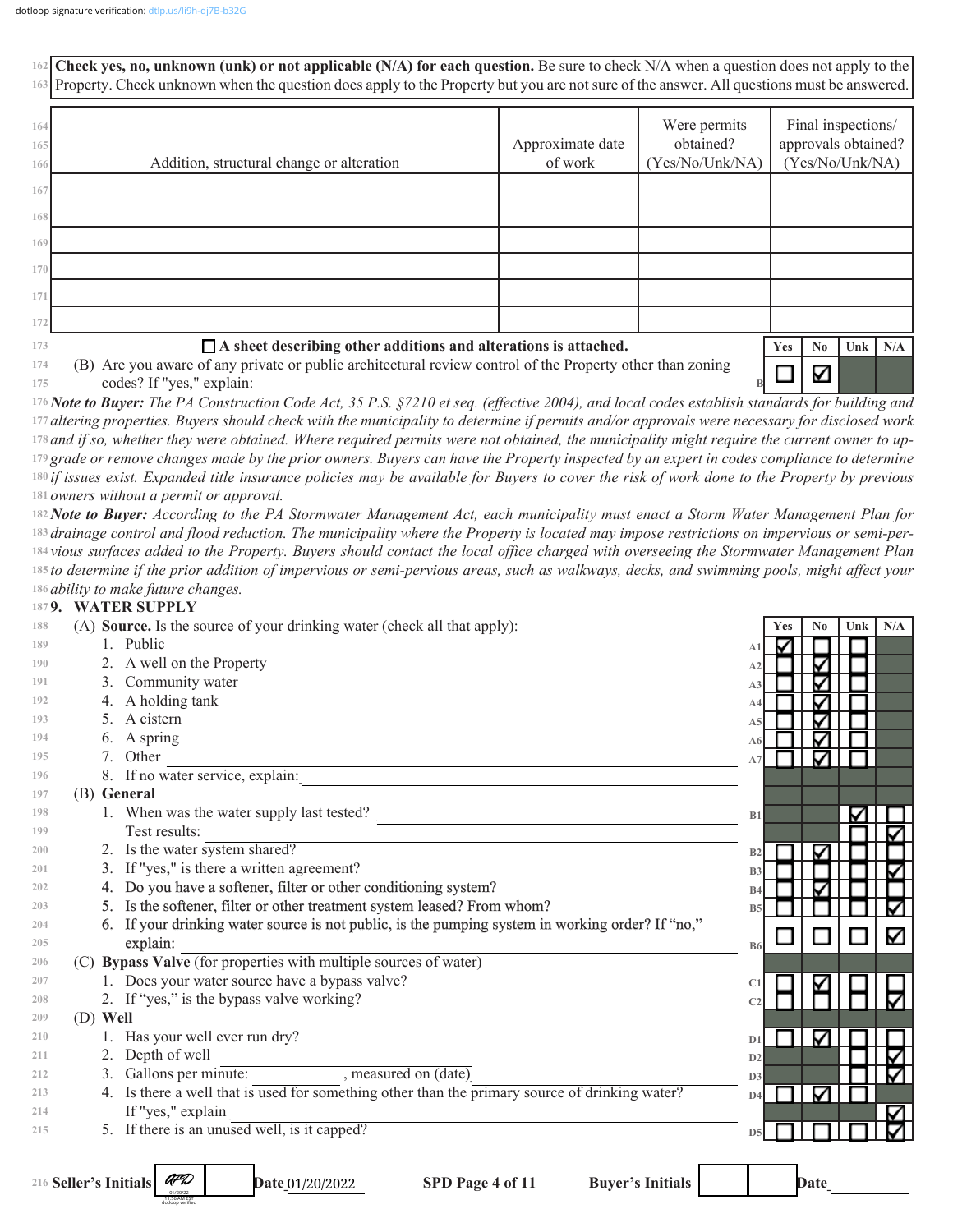**Check yes, no, unknown (unk) or not applicable (N/A) for each question.** Be sure to check N/A when a question does not apply to the **162 163** Property. Check unknown when the question does apply to the Property but you are not sure of the answer. All questions must be answered. Were permits Final inspections/ **164** Approximate date obtained? approvals obtained? **165** Addition, structural change or alteration of work (Yes/No/Unk/NA) (Yes/No/Unk/NA) **166 167 168 169 170 171 172 A sheet describing other additions and alterations is attached. 173 Yes No Unk N/A 174** (B) Are you aware of any private or public architectural review control of the Property other than zoning ✓ codes? If "yes," explain: **175 B** *Note to Buyer: The PA Construction Code Act, 35 P.S. §7210 et seq. (effective 2004), and local codes establish standards for building and*  **176** *altering properties. Buyers should check with the municipality to determine if permits and/or approvals were necessary for disclosed work*  **177** *and if so, whether they were obtained. Where required permits were not obtained, the municipality might require the current owner to up-***178** <sup>179</sup> grade or remove changes made by the prior owners. Buyers can have the Property inspected by an expert in codes compliance to determine *if issues exist. Expanded title insurance policies may be available for Buyers to cover the risk of work done to the Property by previous*  **180** 181 owners without a permit or approval. *Note to Buyer: According to the PA Stormwater Management Act, each municipality must enact a Storm Water Management Plan for*  **182** *drainage control and flood reduction. The municipality where the Property is located may impose restrictions on impervious or semi-per-***183** *vious surfaces added to the Property. Buyers should contact the local office charged with overseeing the Stormwater Management Plan*  **184** *to determine if the prior addition of impervious or semi-pervious areas, such as walkways, decks, and swimming pools, might affect your*  **185** *ability to make future changes.* **186 9. WATER SUPPLY 187 188** (A) **Source.** Is the source of your drinking water (check all that apply): **Yes No Unk N/A 189** 1. Public **A1 190** 2. A well on the Property **A2 191** 3. Community water **A3 192** 4. A holding tank **A4** 5. A cistern **193 A5** 6. A spring **194 A6 195** 7. Other  $\blacksquare$ **A7 196** 8. If no water service, explain: **197** (B) **General** 1. When was the water supply last tested? **198 B1 199**

| 199 |                                       |
|-----|---------------------------------------|
| 200 | water<br>the l<br>system.<br>, snare, |

- 3. If "yes," is there a written agreement? **201**
	- 4. Do you have a softener, filter or other conditioning system?
		- 5. Is the softener, filter or other treatment system leased? From whom?
	- 6. If your drinking water source is not public, is the pumping system in working order? If "no,"  $\exp$  and  $\exp$  and  $\exp$  and  $\exp$  and  $\exp$  and  $\exp$  and  $\exp$  and  $\exp$  and  $\exp$  and  $\exp$  and  $\exp$  and  $\exp$  and  $\exp$  and  $\exp$  and  $\exp$  and  $\exp$  and  $\exp$  and  $\exp$  and  $\exp$  and  $\exp$  and  $\exp$  and  $\exp$  and  $\exp$  and  $\exp$  and  $\exp$
- (C) **Bypass Valve** (for properties with multiple sources of water) **206**
	- 1. Does your water source have a bypass valve?
	- 2. If "yes," is the bypass valve working?

(D) **Well**

1. Has your well ever run dry?

AFD 01/20/22 11:56 AM EST dotloop verified

- 2. Depth of well
- 3. Gallons per minute: , measured on (date) **212**
- 4. Is there a well that is used for something other than the primary source of drinking water? If "yes," explain **213 214**
- 5. If there is an unused well, is it capped? **215**

**B2 B3 B4 B5 B6 C1 C2** ⊽ **D1 D2 D3** ⊽ **D4 D5**

216 Seller's Initials

Date 01/20/2022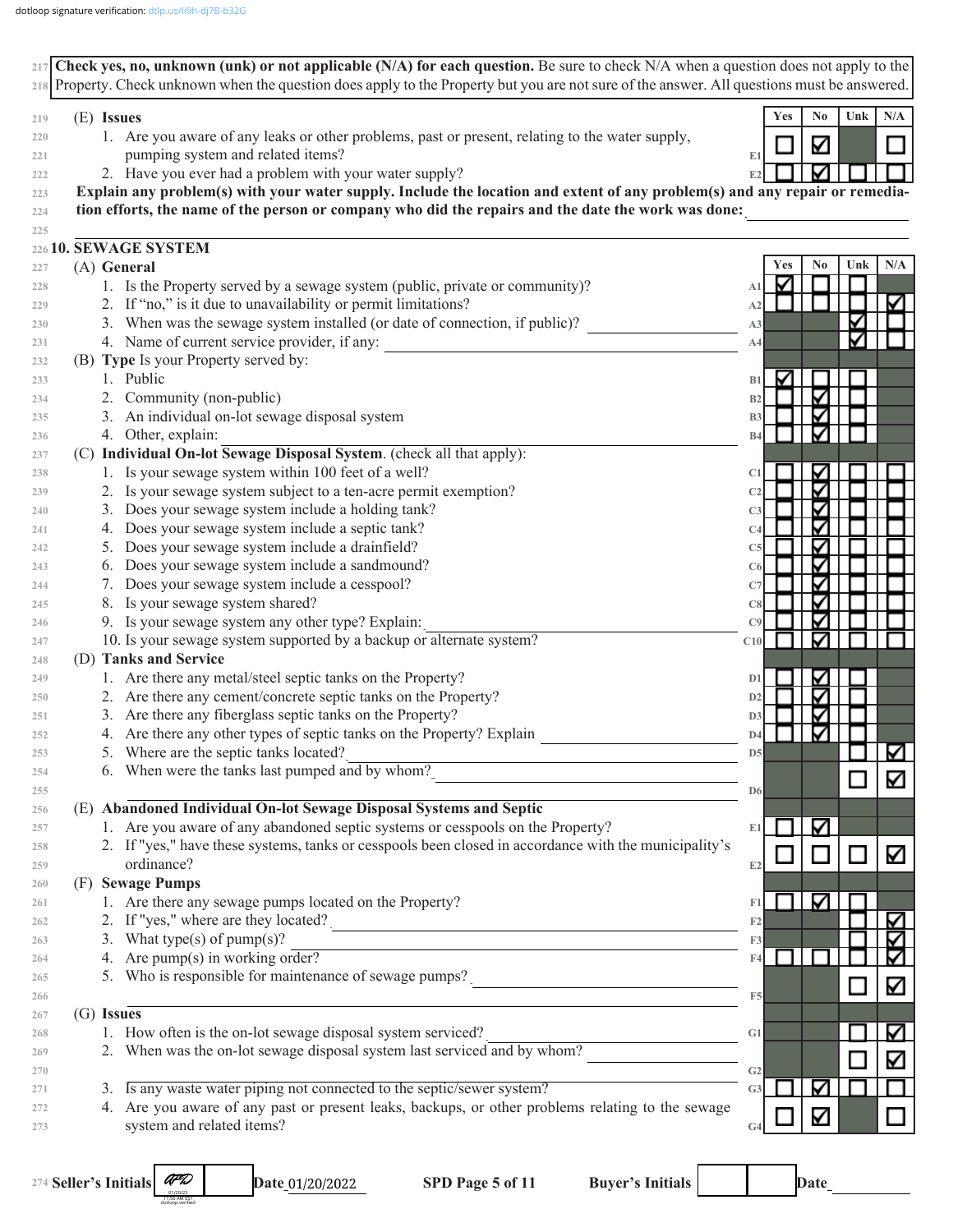

274 Seller's Initials

01/20/22 11:56 AM EST dotloop verified Date 01/20/2022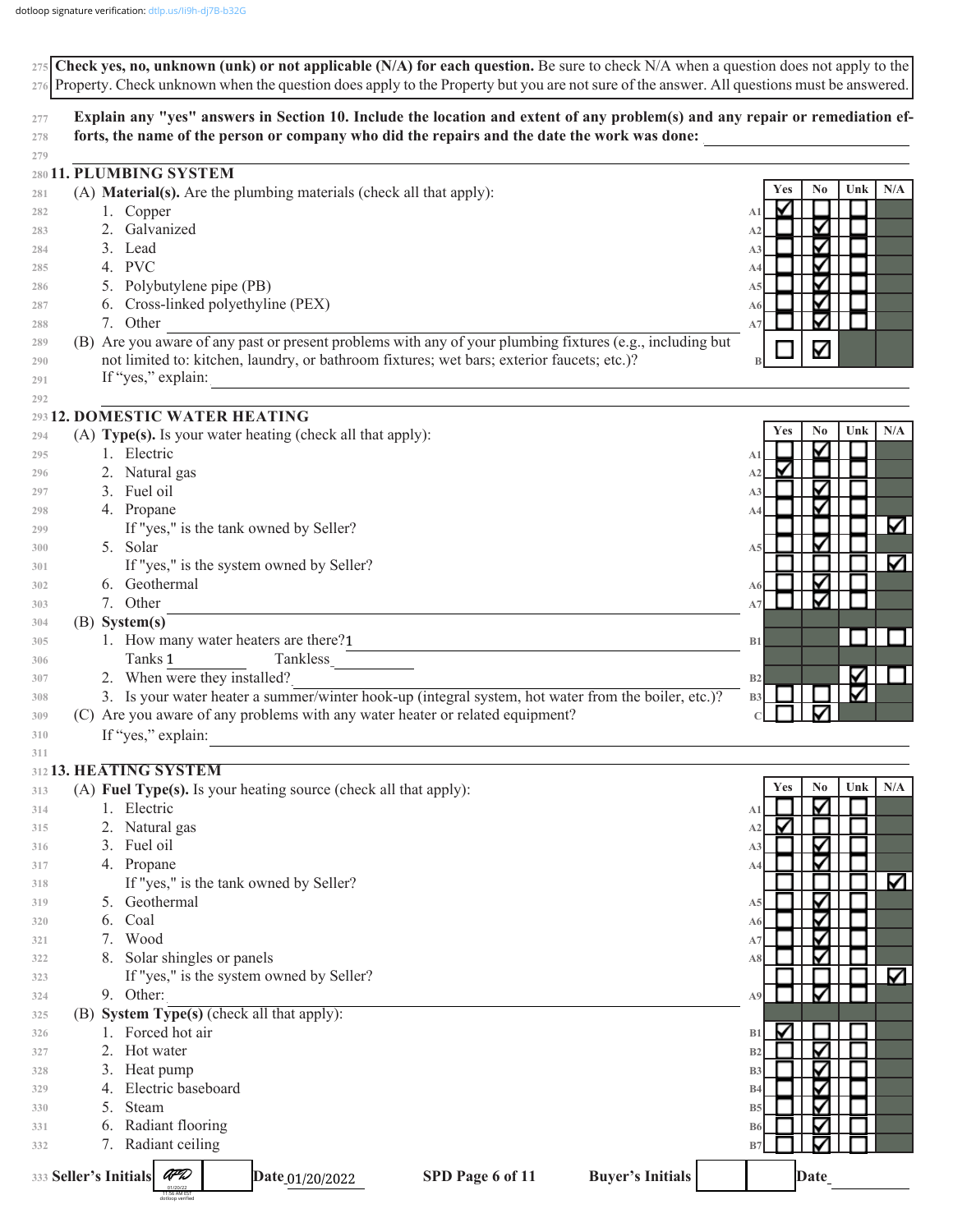|            | 275 Check yes, no, unknown (unk) or not applicable (N/A) for each question. Be sure to check $N/A$ when a question does not apply to the<br>276 Property. Check unknown when the question does apply to the Property but you are not sure of the answer. All questions must be answered. |                                       |  |  |  |  |  |
|------------|------------------------------------------------------------------------------------------------------------------------------------------------------------------------------------------------------------------------------------------------------------------------------------------|---------------------------------------|--|--|--|--|--|
| 277        | Explain any "yes" answers in Section 10. Include the location and extent of any problem(s) and any repair or remediation ef-                                                                                                                                                             |                                       |  |  |  |  |  |
| 278        | forts, the name of the person or company who did the repairs and the date the work was done:                                                                                                                                                                                             |                                       |  |  |  |  |  |
| 279        |                                                                                                                                                                                                                                                                                          |                                       |  |  |  |  |  |
|            | 280 11. PLUMBING SYSTEM                                                                                                                                                                                                                                                                  | N <sub>0</sub><br>Unk<br>N/A<br>Yes   |  |  |  |  |  |
| 281        | (A) Material(s). Are the plumbing materials (check all that apply):                                                                                                                                                                                                                      | V                                     |  |  |  |  |  |
| 282        | 1. Copper<br>2. Galvanized                                                                                                                                                                                                                                                               | A1<br>∇<br>A <sub>2</sub>             |  |  |  |  |  |
| 283<br>284 | 3. Lead                                                                                                                                                                                                                                                                                  | ⊽<br>A <sub>3</sub>                   |  |  |  |  |  |
| 285        | 4. PVC                                                                                                                                                                                                                                                                                   | ⊽<br>A4                               |  |  |  |  |  |
| 286        | 5. Polybutylene pipe (PB)                                                                                                                                                                                                                                                                | ⊽<br>A5                               |  |  |  |  |  |
| 287        | 6. Cross-linked polyethyline (PEX)                                                                                                                                                                                                                                                       | ⊽<br>A6                               |  |  |  |  |  |
| 288        | 7. Other                                                                                                                                                                                                                                                                                 | A7                                    |  |  |  |  |  |
| 289        | (B) Are you aware of any past or present problems with any of your plumbing fixtures (e.g., including but                                                                                                                                                                                | ∇                                     |  |  |  |  |  |
| 290        | not limited to: kitchen, laundry, or bathroom fixtures; wet bars; exterior faucets; etc.)?                                                                                                                                                                                               |                                       |  |  |  |  |  |
| 291        | If "yes," explain:                                                                                                                                                                                                                                                                       |                                       |  |  |  |  |  |
| 292        | 293 12. DOMESTIC WATER HEATING                                                                                                                                                                                                                                                           |                                       |  |  |  |  |  |
| 294        | (A) Type(s). Is your water heating (check all that apply):                                                                                                                                                                                                                               | No<br>N/A<br>Unk<br>Yes               |  |  |  |  |  |
| 295        | 1. Electric                                                                                                                                                                                                                                                                              | Δ<br>A1                               |  |  |  |  |  |
| 296        | 2. Natural gas                                                                                                                                                                                                                                                                           | A <sub>2</sub>                        |  |  |  |  |  |
| 297        | 3. Fuel oil                                                                                                                                                                                                                                                                              | V<br>A <sub>3</sub>                   |  |  |  |  |  |
| 298        | 4. Propane                                                                                                                                                                                                                                                                               | ∇<br>A4                               |  |  |  |  |  |
| 299        | If "yes," is the tank owned by Seller?                                                                                                                                                                                                                                                   | V                                     |  |  |  |  |  |
| 300        | 5. Solar                                                                                                                                                                                                                                                                                 | ⊽<br>A5                               |  |  |  |  |  |
| 301        | If "yes," is the system owned by Seller?                                                                                                                                                                                                                                                 | V                                     |  |  |  |  |  |
| 302        | 6. Geothermal                                                                                                                                                                                                                                                                            | ⊽<br>A6                               |  |  |  |  |  |
| 303        | 7. Other                                                                                                                                                                                                                                                                                 | ✓<br>A7                               |  |  |  |  |  |
| 304        | $(B)$ System(s)                                                                                                                                                                                                                                                                          |                                       |  |  |  |  |  |
| 305        | 1. How many water heaters are there?1                                                                                                                                                                                                                                                    | B1                                    |  |  |  |  |  |
| 306        | Tanks 1<br>Tankless<br>2. When were they installed?                                                                                                                                                                                                                                      | Δ<br>B <sub>2</sub>                   |  |  |  |  |  |
| 307<br>308 | 3. Is your water heater a summer/winter hook-up (integral system, hot water from the boiler, etc.)?                                                                                                                                                                                      | ⊽<br>B <sub>3</sub>                   |  |  |  |  |  |
| 309        | (C) Are you aware of any problems with any water heater or related equipment?                                                                                                                                                                                                            |                                       |  |  |  |  |  |
| 310        | If "yes," explain:                                                                                                                                                                                                                                                                       |                                       |  |  |  |  |  |
| 311        |                                                                                                                                                                                                                                                                                          |                                       |  |  |  |  |  |
|            | 312 13. HEATING SYSTEM                                                                                                                                                                                                                                                                   |                                       |  |  |  |  |  |
| 313        | (A) Fuel Type(s). Is your heating source (check all that apply):                                                                                                                                                                                                                         | No<br>Unk<br>N/A<br><b>Yes</b>        |  |  |  |  |  |
| 314        | Electric                                                                                                                                                                                                                                                                                 | ✓<br>A1                               |  |  |  |  |  |
| 315        | Natural gas<br>2.                                                                                                                                                                                                                                                                        | V<br>A <sub>2</sub>                   |  |  |  |  |  |
| 316        | Fuel oil<br>3.                                                                                                                                                                                                                                                                           | ∇<br>A3<br>⊽                          |  |  |  |  |  |
| 317        | 4. Propane<br>If "yes," is the tank owned by Seller?                                                                                                                                                                                                                                     | A4<br>K                               |  |  |  |  |  |
| 318<br>319 | Geothermal<br>5.                                                                                                                                                                                                                                                                         | ⊽<br>A5                               |  |  |  |  |  |
| 320        | Coal<br>6.                                                                                                                                                                                                                                                                               | ✓<br>A6                               |  |  |  |  |  |
| 321        | Wood<br>7.                                                                                                                                                                                                                                                                               | ⊽<br>A7                               |  |  |  |  |  |
| 322        | Solar shingles or panels                                                                                                                                                                                                                                                                 | ⊽<br>A8                               |  |  |  |  |  |
| 323        | If "yes," is the system owned by Seller?                                                                                                                                                                                                                                                 | M                                     |  |  |  |  |  |
| 324        | 9. Other:                                                                                                                                                                                                                                                                                | ⊽<br>A9                               |  |  |  |  |  |
| 325        | (B) System Type(s) (check all that apply):                                                                                                                                                                                                                                               |                                       |  |  |  |  |  |
| 326        | Forced hot air                                                                                                                                                                                                                                                                           | M<br>B1                               |  |  |  |  |  |
| 327        | 2.<br>Hot water                                                                                                                                                                                                                                                                          | ∇<br>B <sub>2</sub>                   |  |  |  |  |  |
| 328        | Heat pump<br>3.<br>Electric baseboard                                                                                                                                                                                                                                                    | ⊽<br>B <sub>3</sub>                   |  |  |  |  |  |
| 329        | Steam<br>5.                                                                                                                                                                                                                                                                              | ⊽<br><b>B4</b><br>⊽<br>B <sub>5</sub> |  |  |  |  |  |
| 330<br>331 | Radiant flooring<br>6.                                                                                                                                                                                                                                                                   | ⊽<br>B <sub>6</sub>                   |  |  |  |  |  |
| 332        | Radiant ceiling<br>7.                                                                                                                                                                                                                                                                    | B7                                    |  |  |  |  |  |
|            |                                                                                                                                                                                                                                                                                          |                                       |  |  |  |  |  |
|            | AFD<br>333 Seller's Initials<br>SPD Page 6 of 11<br><b>Buyer's Initials</b><br>Date_01/20/2022<br>11:56 AM EST<br>Iotloon verifier                                                                                                                                                       | Date                                  |  |  |  |  |  |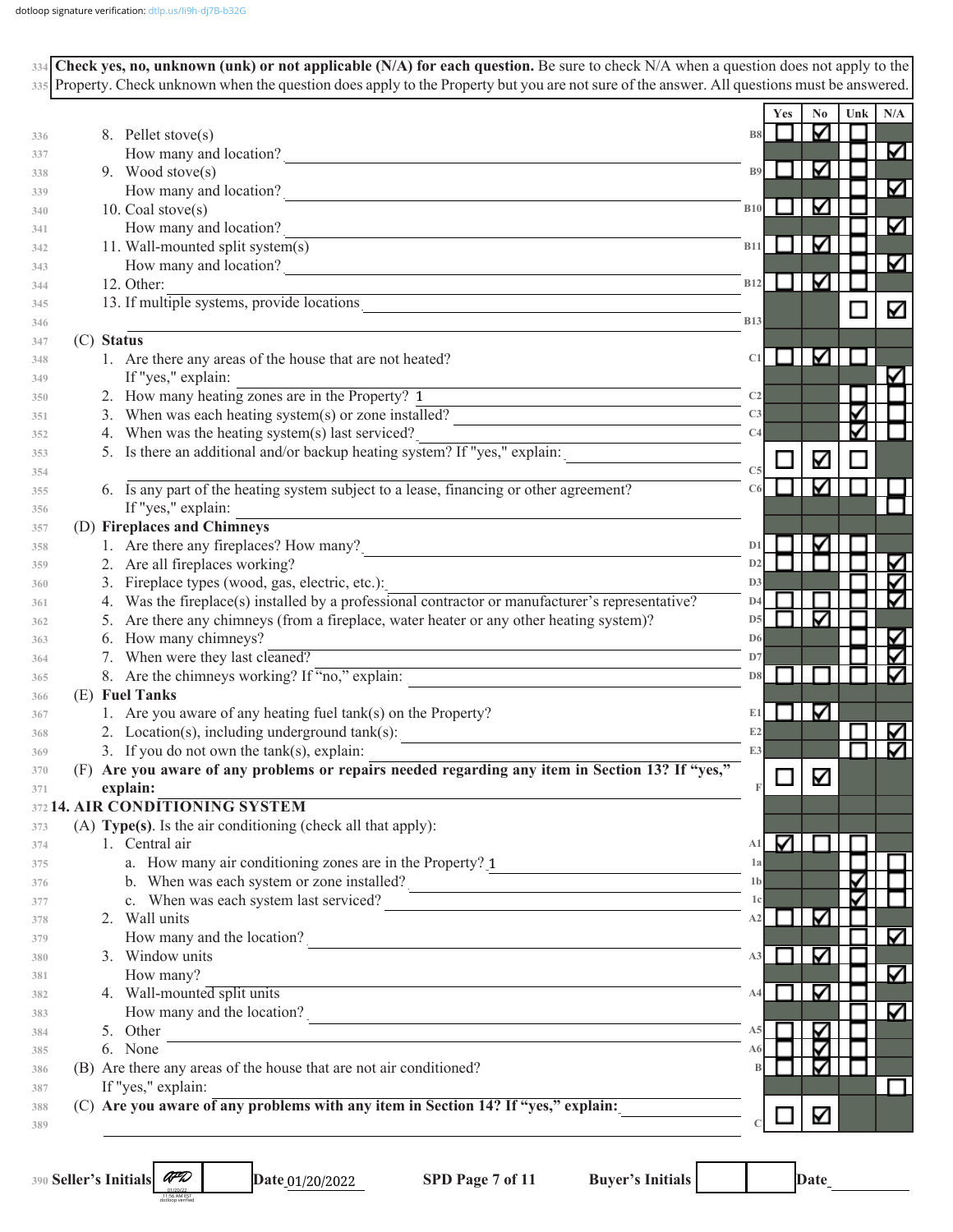| 334 Check yes, no, unknown (unk) or not applicable (N/A) for each question. Be sure to check N/A when a question does not apply to the<br>335 Property. Check unknown when the question does apply to the Property but you are not sure of the answer. All questions must be answered. |                                                                                                 |     |
|----------------------------------------------------------------------------------------------------------------------------------------------------------------------------------------------------------------------------------------------------------------------------------------|-------------------------------------------------------------------------------------------------|-----|
|                                                                                                                                                                                                                                                                                        | Yes<br>N <sub>0</sub><br>Unk                                                                    | N/A |
|                                                                                                                                                                                                                                                                                        | M<br><b>B8</b>                                                                                  |     |
| 8. Pellet stove(s)                                                                                                                                                                                                                                                                     |                                                                                                 | Κ   |
| How many and location?<br>9. Wood stove(s)                                                                                                                                                                                                                                             | ⊻<br><b>B</b> <sup>9</sup>                                                                      |     |
|                                                                                                                                                                                                                                                                                        |                                                                                                 | Κ   |
| How many and location?<br>10. Coal stove(s)                                                                                                                                                                                                                                            | ⊻<br><b>B10</b>                                                                                 |     |
| How many and location?                                                                                                                                                                                                                                                                 |                                                                                                 | K   |
| 11. Wall-mounted split system(s)                                                                                                                                                                                                                                                       | ☑<br><b>B11</b>                                                                                 |     |
|                                                                                                                                                                                                                                                                                        |                                                                                                 | Κ   |
| How many and location?<br>12. Other:                                                                                                                                                                                                                                                   | K<br>B12<br>l.                                                                                  |     |
| 12. Unier:<br>13. If multiple systems, provide locations                                                                                                                                                                                                                               |                                                                                                 |     |
|                                                                                                                                                                                                                                                                                        | <b>B13</b>                                                                                      |     |
| (C) Status                                                                                                                                                                                                                                                                             |                                                                                                 |     |
| 1. Are there any areas of the house that are not heated?                                                                                                                                                                                                                               | Κ<br>C1                                                                                         |     |
| If "yes," explain:                                                                                                                                                                                                                                                                     |                                                                                                 |     |
| 2. How many heating zones are in the Property? 1                                                                                                                                                                                                                                       | C <sub>2</sub><br><u> 1989 - Johann Barn, amerikansk politiker (d. 1989)</u>                    |     |
| 3. When was each heating system(s) or zone installed?                                                                                                                                                                                                                                  | C <sub>3</sub>                                                                                  |     |
| 4. When was the heating system(s) last serviced?                                                                                                                                                                                                                                       | C4                                                                                              |     |
| 7. When was the neating system(s) has serviced!<br>5. Is there an additional and/or backup heating system? If "yes," explain:                                                                                                                                                          | K                                                                                               |     |
|                                                                                                                                                                                                                                                                                        | C <sub>5</sub>                                                                                  |     |
| 6. Is any part of the heating system subject to a lease, financing or other agreement?                                                                                                                                                                                                 | Μ<br>C6                                                                                         |     |
| If "yes," explain:                                                                                                                                                                                                                                                                     |                                                                                                 |     |
| (D) Fireplaces and Chimneys                                                                                                                                                                                                                                                            |                                                                                                 |     |
| 1. Are there any fireplaces? How many?<br><u>Conservation</u>                                                                                                                                                                                                                          | ⊽<br>D <sub>1</sub>                                                                             |     |
| 2. Are all fireplaces working?                                                                                                                                                                                                                                                         | D2                                                                                              |     |
| 3. Fireplace types (wood, gas, electric, etc.):                                                                                                                                                                                                                                        | D <sub>3</sub>                                                                                  |     |
| 4. Was the fireplace(s) installed by a professional contractor or manufacturer's representative?                                                                                                                                                                                       | D4                                                                                              |     |
| 5. Are there any chimneys (from a fireplace, water heater or any other heating system)?                                                                                                                                                                                                | ⊽<br>D <sub>5</sub>                                                                             |     |
| 6. How many chimneys?                                                                                                                                                                                                                                                                  | D <sub>6</sub>                                                                                  |     |
| 7. When were they last cleaned?                                                                                                                                                                                                                                                        | D7<br>the control of the control of the control of the control of the control of the control of |     |
| 8. Are the chimneys working? If "no," explain:                                                                                                                                                                                                                                         | D <sub>8</sub>                                                                                  | ∇   |
| (E) Fuel Tanks                                                                                                                                                                                                                                                                         |                                                                                                 |     |
| 1. Are you aware of any heating fuel tank(s) on the Property?                                                                                                                                                                                                                          | K<br>E1                                                                                         |     |
| 2. Location(s), including underground $tank(s)$ :                                                                                                                                                                                                                                      | E2                                                                                              |     |
| 3. If you do not own the $tank(s)$ , explain:                                                                                                                                                                                                                                          | E3                                                                                              |     |
| (F) Are you aware of any problems or repairs needed regarding any item in Section 13? If "yes,"                                                                                                                                                                                        | Κ                                                                                               |     |
| explain:                                                                                                                                                                                                                                                                               |                                                                                                 |     |
| <b>4. AIR CONDITIONING SYSTEM</b>                                                                                                                                                                                                                                                      |                                                                                                 |     |
| (A) Type(s). Is the air conditioning (check all that apply):                                                                                                                                                                                                                           |                                                                                                 |     |
| 1. Central air                                                                                                                                                                                                                                                                         | M<br>A1                                                                                         |     |
| a. How many air conditioning zones are in the Property? 1                                                                                                                                                                                                                              | 1a<br><u> 1989 - Johann Stein, mars an t-Amerikaansk kommunister (</u>                          |     |
| b. When was each system or zone installed?                                                                                                                                                                                                                                             | 1 <sub>b</sub>                                                                                  |     |
| c. When was each system last serviced?                                                                                                                                                                                                                                                 | 1c                                                                                              |     |
| 2. Wall units                                                                                                                                                                                                                                                                          | Κ<br>A2                                                                                         | Κ   |
| How many and the location?                                                                                                                                                                                                                                                             |                                                                                                 |     |
| 3. Window units                                                                                                                                                                                                                                                                        | ∇<br>A3                                                                                         |     |
| How many?<br><u> 1989 - Andrea Station Barbara, actor a component de la componentación de la componentación de la componentaci</u>                                                                                                                                                     |                                                                                                 |     |
| 4. Wall-mounted split units                                                                                                                                                                                                                                                            | ∇<br>A4                                                                                         |     |
| How many and the location?                                                                                                                                                                                                                                                             |                                                                                                 |     |
| 5. Other<br>the control of the control of the control of the control of the control of the control of the control of the control of the control of the control of the control of the control of the control of the control of the control                                              | ⊽                                                                                               |     |
| 6. None                                                                                                                                                                                                                                                                                | ⊽<br>A6                                                                                         |     |
| (B) Are there any areas of the house that are not air conditioned?                                                                                                                                                                                                                     | V<br>B                                                                                          |     |
| If "yes," explain:                                                                                                                                                                                                                                                                     |                                                                                                 |     |
| (C) Are you aware of any problems with any item in Section 14? If "yes," explain:                                                                                                                                                                                                      | К                                                                                               |     |
|                                                                                                                                                                                                                                                                                        |                                                                                                 |     |

**390 Seller's Initials** 

AFD 01/20/22 11:56 AM EST dotloop verified Date\_01/20/2022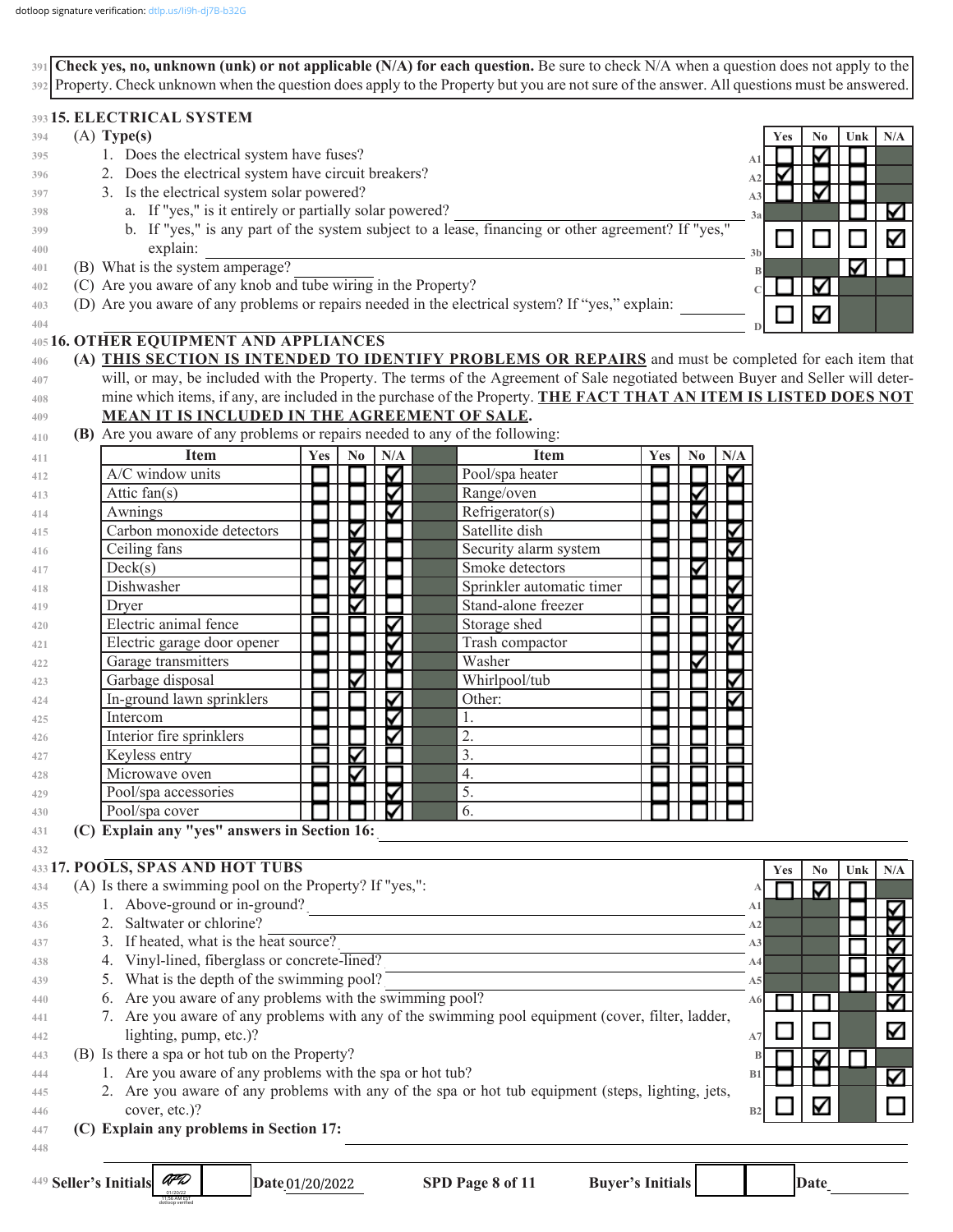**Check yes, no, unknown (unk) or not applicable (N/A) for each question.** Be sure to check N/A when a question does not apply to the **391** Property. Check unknown when the question does apply to the Property but you are not sure of the answer. All questions must be answered. **392**

#### **15. ELECTRICAL SYSTEM 393**

| 394 | $(A)$ Type(s)                                                                                                                   | <b>Yes</b> | No | Unk $\vert$ | N/A |
|-----|---------------------------------------------------------------------------------------------------------------------------------|------------|----|-------------|-----|
| 395 | 1. Does the electrical system have fuses?                                                                                       |            |    |             |     |
| 396 | 2. Does the electrical system have circuit breakers?<br>A2                                                                      |            |    |             |     |
| 397 | 3. Is the electrical system solar powered?<br>A <sub>3</sub>                                                                    |            |    |             |     |
| 398 | a. If "yes," is it entirely or partially solar powered?<br>3a                                                                   |            |    |             |     |
| 399 | b. If "yes," is any part of the system subject to a lease, financing or other agreement? If "yes,"                              |            |    |             | ∇   |
| 400 | explain:<br>3 <sub>b</sub>                                                                                                      |            |    |             |     |
| 401 | (B) What is the system amperage?                                                                                                |            |    |             |     |
| 402 | (C) Are you aware of any knob and tube wiring in the Property?                                                                  |            | M  |             |     |
| 403 | (D) Are you aware of any problems or repairs needed in the electrical system? If "yes," explain:                                |            | ⊽  |             |     |
| 404 |                                                                                                                                 |            |    |             |     |
|     | 405 16. OTHER EQUIPMENT AND APPLIANCES                                                                                          |            |    |             |     |
| 406 | (A) THIS SECTION IS INTENDED TO IDENTIFY PROBLEMS OR REPAIRS and must be completed for each item that                           |            |    |             |     |
| 407 | will, or may, be included with the Property. The terms of the Agreement of Sale negotiated between Buyer and Seller will deter- |            |    |             |     |
| 408 | mine which items, if any, are included in the purchase of the Property. THE FACT THAT AN ITEM IS LISTED DOES NOT                |            |    |             |     |
| 409 | MEAN IT IS INCLUDED IN THE AGREEMENT OF SALE.                                                                                   |            |    |             |     |
| 410 | (B) Are you aware of any problems or repairs needed to any of the following:                                                    |            |    |             |     |

| 411        | <b>Item</b>                 | Yes | $\bf No$ | N/A | <b>Item</b>               | Yes | N <sub>0</sub> | N/A |
|------------|-----------------------------|-----|----------|-----|---------------------------|-----|----------------|-----|
| 412        | A/C window units            |     |          |     | Pool/spa heater           |     |                |     |
| 413        | Attic fan(s)                |     |          |     | Range/oven                |     |                |     |
| 414        | Awnings                     |     |          |     | Refrigerator(s)           |     |                |     |
| 415        | Carbon monoxide detectors   |     |          |     | Satellite dish            |     |                |     |
| 416        | Ceiling fans                |     |          |     | Security alarm system     |     |                |     |
| 417        | Deck(s)                     |     |          |     | Smoke detectors           |     |                |     |
| 418        | Dishwasher                  |     |          |     | Sprinkler automatic timer |     |                |     |
| 419        | Dryer                       |     |          |     | Stand-alone freezer       |     |                |     |
| 420        | Electric animal fence       |     |          |     | Storage shed              |     |                |     |
| 421        | Electric garage door opener |     |          |     | Trash compactor           |     |                |     |
| 422        | Garage transmitters         |     |          |     | Washer                    |     |                |     |
| 423        | Garbage disposal            |     |          |     | Whirlpool/tub             |     |                |     |
| 424        | In-ground lawn sprinklers   |     |          |     | Other:                    |     |                |     |
| 425        | Intercom                    |     |          |     | 1.                        |     |                |     |
| 426        | Interior fire sprinklers    |     |          |     | 2.                        |     |                |     |
| 427        | Keyless entry               |     |          |     | 3.                        |     |                |     |
| 428        | Microwave oven              |     |          |     | 4.                        |     |                |     |
| 429        | Pool/spa accessories        |     |          |     | 5.                        |     |                |     |
| 430        | Pool/spa cover              |     |          |     | 6.                        |     |                |     |
| A Children |                             |     |          |     |                           |     |                |     |

**(C) Explain any "yes" answers in Section 16:** \_\_\_\_\_\_\_\_\_\_\_\_\_\_\_\_\_\_\_\_\_\_\_\_\_\_\_\_\_\_\_\_\_\_\_\_\_\_\_\_\_\_\_\_\_\_\_\_\_\_\_\_\_\_\_\_\_\_\_\_\_\_\_\_\_\_\_ **431**

#### **17. POOLS, SPAS AND HOT TUBS 433**

11:56 AM EST dotloop verified

|     | 433 17. POOLS, SPAS AND HOT TUBS                                                                  |                | <b>Yes</b> | N <sub>0</sub> | Unk | N/A |
|-----|---------------------------------------------------------------------------------------------------|----------------|------------|----------------|-----|-----|
| 434 | (A) Is there a swimming pool on the Property? If "yes,":                                          |                |            |                |     |     |
| 435 | 1. Above-ground or in-ground?                                                                     | A <sub>1</sub> |            |                |     |     |
| 436 | 2. Saltwater or chlorine?                                                                         | A2             |            |                |     |     |
| 437 | 3. If heated, what is the heat source?                                                            | A <sub>3</sub> |            |                |     |     |
| 438 | 4. Vinyl-lined, fiberglass or concrete-lined?                                                     | A4             |            |                |     |     |
| 439 | 5. What is the depth of the swimming pool?                                                        | A5             |            |                |     |     |
| 440 | 6. Are you aware of any problems with the swimming pool?                                          |                |            |                |     |     |
| 441 | 7. Are you aware of any problems with any of the swimming pool equipment (cover, filter, ladder,  |                |            |                |     |     |
| 442 | lighting, pump, etc.)?                                                                            | A7             |            |                |     | Κ   |
| 443 | (B) Is there a spa or hot tub on the Property?                                                    |                |            |                |     |     |
| 444 | 1. Are you aware of any problems with the spa or hot tub?                                         |                |            |                |     | ∇   |
| 445 | 2. Are you aware of any problems with any of the spa or hot tub equipment (steps, lighting, jets, |                |            |                |     |     |
| 446 | cover, etc.)?                                                                                     | B <sub>2</sub> |            |                |     |     |
| 447 | (C) Explain any problems in Section 17:                                                           |                |            |                |     |     |
| 448 |                                                                                                   |                |            |                |     |     |

**432**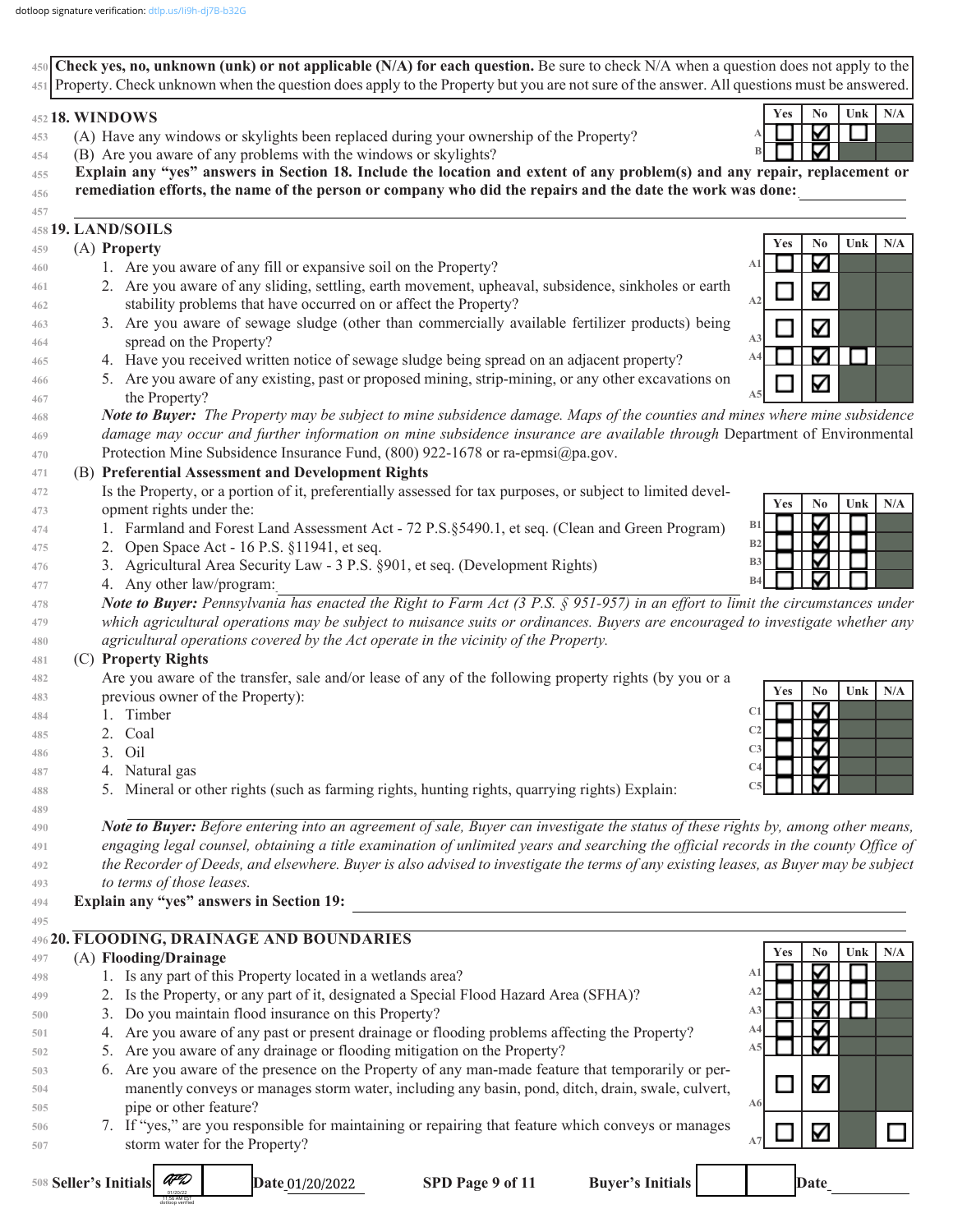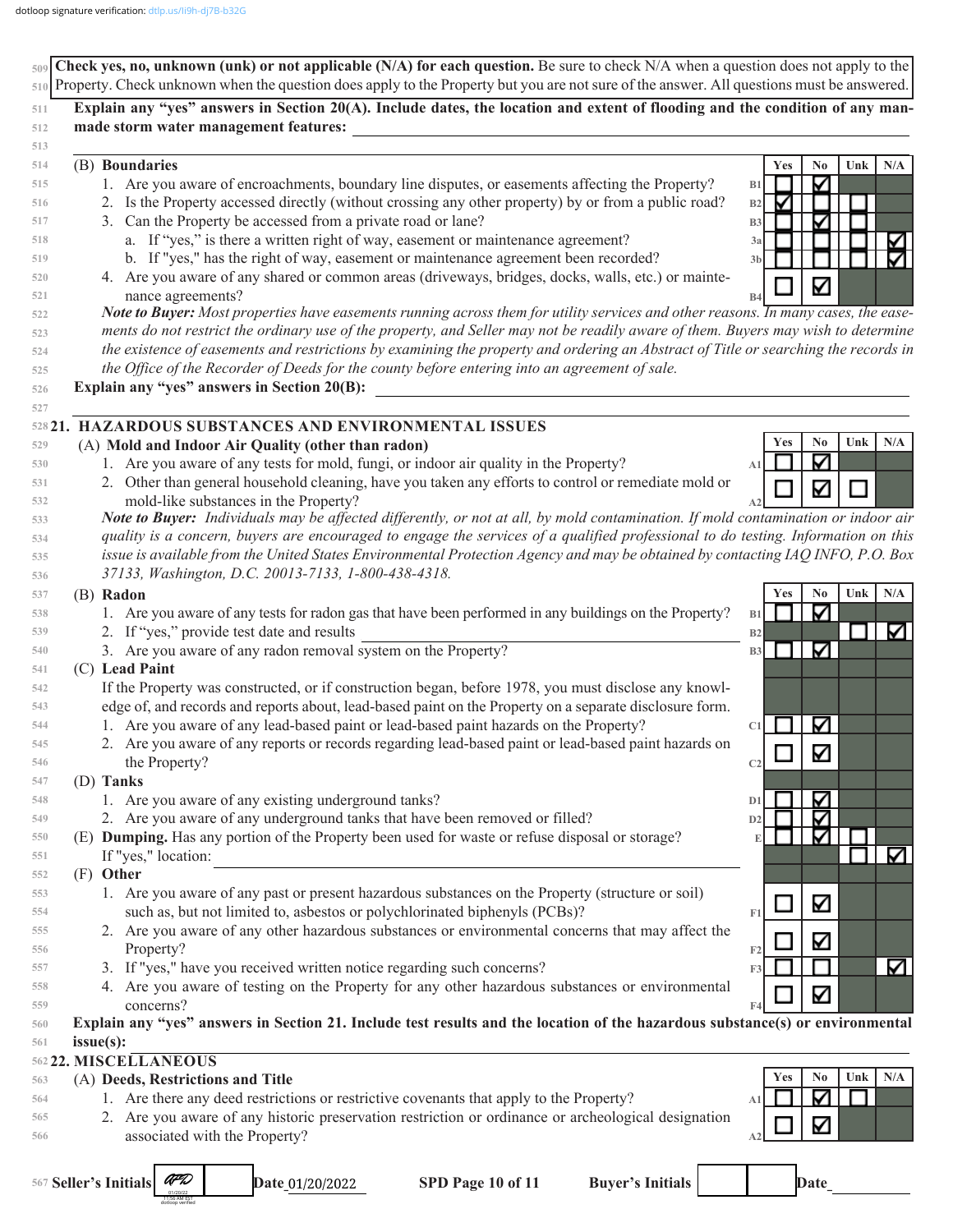|            | $\frac{1}{509}$ Check yes, no, unknown (unk) or not applicable (N/A) for each question. Be sure to check N/A when a question does not apply to the<br>510 Property. Check unknown when the question does apply to the Property but you are not sure of the answer. All questions must be answered. |                                            |
|------------|----------------------------------------------------------------------------------------------------------------------------------------------------------------------------------------------------------------------------------------------------------------------------------------------------|--------------------------------------------|
|            |                                                                                                                                                                                                                                                                                                    |                                            |
| 511        | Explain any "yes" answers in Section 20(A). Include dates, the location and extent of flooding and the condition of any man-                                                                                                                                                                       |                                            |
| 512        | made storm water management features:                                                                                                                                                                                                                                                              |                                            |
| 513<br>514 | (B) Boundaries                                                                                                                                                                                                                                                                                     | Yes<br>Unk<br>N/A                          |
| 515        | 1. Are you aware of encroachments, boundary line disputes, or easements affecting the Property?                                                                                                                                                                                                    | No<br>$\blacktriangledown$<br>B1           |
| 516        | 2. Is the Property accessed directly (without crossing any other property) by or from a public road?                                                                                                                                                                                               | V<br>B2                                    |
| 517        | 3. Can the Property be accessed from a private road or lane?                                                                                                                                                                                                                                       | <b>B3</b>                                  |
| 518        | a. If "yes," is there a written right of way, easement or maintenance agreement?                                                                                                                                                                                                                   | 3a                                         |
| 519        | b. If "yes," has the right of way, easement or maintenance agreement been recorded?                                                                                                                                                                                                                | 3 <sub>b</sub>                             |
| 520        | 4. Are you aware of any shared or common areas (driveways, bridges, docks, walls, etc.) or mainte-                                                                                                                                                                                                 |                                            |
| 521        | nance agreements?                                                                                                                                                                                                                                                                                  | ⊽<br>B4                                    |
| 522        | Note to Buyer: Most properties have easements running across them for utility services and other reasons. In many cases, the ease-                                                                                                                                                                 |                                            |
| 523        | ments do not restrict the ordinary use of the property, and Seller may not be readily aware of them. Buyers may wish to determine                                                                                                                                                                  |                                            |
| 524        | the existence of easements and restrictions by examining the property and ordering an Abstract of Title or searching the records in                                                                                                                                                                |                                            |
| 525        | the Office of the Recorder of Deeds for the county before entering into an agreement of sale.                                                                                                                                                                                                      |                                            |
| 526        | Explain any "yes" answers in Section 20(B):                                                                                                                                                                                                                                                        |                                            |
| 527        |                                                                                                                                                                                                                                                                                                    |                                            |
|            | 528 21. HAZARDOUS SUBSTANCES AND ENVIRONMENTAL ISSUES                                                                                                                                                                                                                                              |                                            |
| 529        | (A) Mold and Indoor Air Quality (other than radon)                                                                                                                                                                                                                                                 | N <sub>0</sub><br>N/A<br>Unk<br><b>Yes</b> |
| 530        | 1. Are you aware of any tests for mold, fungi, or indoor air quality in the Property?                                                                                                                                                                                                              | ∇<br>A <sub>1</sub>                        |
| 531        | 2. Other than general household cleaning, have you taken any efforts to control or remediate mold or                                                                                                                                                                                               | V                                          |
| 532        | mold-like substances in the Property?                                                                                                                                                                                                                                                              |                                            |
| 533        | Note to Buyer: Individuals may be affected differently, or not at all, by mold contamination. If mold contamination or indoor air                                                                                                                                                                  |                                            |
| 534        | quality is a concern, buyers are encouraged to engage the services of a qualified professional to do testing. Information on this                                                                                                                                                                  |                                            |
| 535        | issue is available from the United States Environmental Protection Agency and may be obtained by contacting IAQ INFO, P.O. Box                                                                                                                                                                     |                                            |
| 536        | 37133, Washington, D.C. 20013-7133, 1-800-438-4318.                                                                                                                                                                                                                                                |                                            |
| 537        | (B) Radon                                                                                                                                                                                                                                                                                          | Unk<br>Yes<br>N <sub>0</sub><br>N/A        |
| 538        | 1. Are you aware of any tests for radon gas that have been performed in any buildings on the Property?                                                                                                                                                                                             | Κ<br>B1                                    |
| 539        | 2. If "yes," provide test date and results                                                                                                                                                                                                                                                         | K<br>B2                                    |
| 540        | 3. Are you aware of any radon removal system on the Property?                                                                                                                                                                                                                                      | Κ<br>B <sub>3</sub>                        |
| 541        | (C) Lead Paint                                                                                                                                                                                                                                                                                     |                                            |
| 542        | If the Property was constructed, or if construction began, before 1978, you must disclose any knowl-                                                                                                                                                                                               |                                            |
| 543        | edge of, and records and reports about, lead-based paint on the Property on a separate disclosure form.<br>1. Are you aware of any lead-based paint or lead-based paint hazards on the Property?                                                                                                   |                                            |
| 544        |                                                                                                                                                                                                                                                                                                    | $\blacktriangledown$<br>C1                 |
| 545<br>546 | 2. Are you aware of any reports or records regarding lead-based paint or lead-based paint hazards on<br>the Property?                                                                                                                                                                              | M                                          |
| 547        | (D) Tanks                                                                                                                                                                                                                                                                                          | C <sub>2</sub>                             |
| 548        | 1. Are you aware of any existing underground tanks?                                                                                                                                                                                                                                                | Δ<br>D <sub>1</sub>                        |
| 549        | 2. Are you aware of any underground tanks that have been removed or filled?                                                                                                                                                                                                                        | Δ<br>D2                                    |
| 550        | (E) Dumping. Has any portion of the Property been used for waste or refuse disposal or storage?                                                                                                                                                                                                    | ∇                                          |
| 551        | If "yes," location:                                                                                                                                                                                                                                                                                | K                                          |
| 552        | $(F)$ Other                                                                                                                                                                                                                                                                                        |                                            |
| 553        | 1. Are you aware of any past or present hazardous substances on the Property (structure or soil)                                                                                                                                                                                                   |                                            |
| 554        | such as, but not limited to, asbestos or polychlorinated biphenyls (PCBs)?                                                                                                                                                                                                                         | Κ<br>F1                                    |
| 555        | 2. Are you aware of any other hazardous substances or environmental concerns that may affect the                                                                                                                                                                                                   |                                            |
| 556        | Property?                                                                                                                                                                                                                                                                                          | K<br>F <sub>2</sub>                        |
| 557        | 3. If "yes," have you received written notice regarding such concerns?                                                                                                                                                                                                                             | M<br>F3                                    |
| 558        | 4. Are you aware of testing on the Property for any other hazardous substances or environmental                                                                                                                                                                                                    |                                            |
| 559        | concerns?                                                                                                                                                                                                                                                                                          | ⊽<br>F4                                    |
| 560        | Explain any "yes" answers in Section 21. Include test results and the location of the hazardous substance(s) or environmental                                                                                                                                                                      |                                            |
| 561        | issue(s):                                                                                                                                                                                                                                                                                          |                                            |
|            | 562 22. MISCELLANEOUS                                                                                                                                                                                                                                                                              |                                            |
| 563        | (A) Deeds, Restrictions and Title                                                                                                                                                                                                                                                                  | N/A<br>No<br>Unk<br>Yes                    |
| 564        | 1. Are there any deed restrictions or restrictive covenants that apply to the Property?                                                                                                                                                                                                            | ∇<br>A1                                    |
| 565        | 2. Are you aware of any historic preservation restriction or ordinance or archeological designation                                                                                                                                                                                                | V                                          |
| 566        | associated with the Property?                                                                                                                                                                                                                                                                      |                                            |
|            |                                                                                                                                                                                                                                                                                                    |                                            |
|            | AFL<br>567 Seller's Initials<br>SPD Page 10 of 11<br><b>Buyer's Initials</b><br>Date_01/20/2022                                                                                                                                                                                                    | Date                                       |
|            |                                                                                                                                                                                                                                                                                                    |                                            |